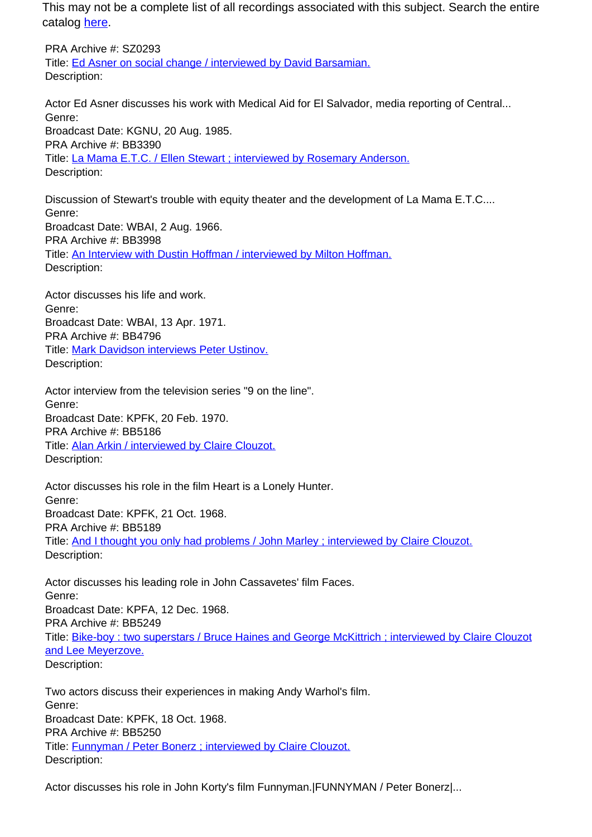This may not be a complete list of all recordings associated with this subject. Search the entire catalog [here.](http://pacificaradioarchives.org/keyword-search)

PRA Archive #: SZ0293 Title: Ed Asner on social change / interviewed by David Barsamian. Description:

Actor Ed Asner discusses his work with Medical Aid for El Salvador, media reporting of Central... Genre: Broadcast Date: KGNU, 20 Aug. 1985. PRA Archive #: BB3390 Title: La Mama E.T.C. / Ellen Stewart ; interviewed by Rosemary Anderson. Description:

Discussion of Stewart's trouble with equity theater and the development of La Mama E.T.C.... Genre: Broadcast Date: WBAI, 2 Aug. 1966. PRA Archive #: BB3998 Title: An Interview with Dustin Hoffman / interviewed by Milton Hoffman. Description:

Actor discusses his life and work. Genre: Broadcast Date: WBAI, 13 Apr. 1971. PRA Archive #: BB4796 Title: Mark Davidson interviews Peter Ustinov. Description:

Actor interview from the television series "9 on the line". Genre: Broadcast Date: KPFK, 20 Feb. 1970. PRA Archive #: BB5186 Title: Alan Arkin / interviewed by Claire Clouzot. Description:

Actor discusses his role in the film Heart is a Lonely Hunter. Genre: Broadcast Date: KPFK, 21 Oct. 1968. PRA Archive #: BB5189 Title: And I thought you only had problems / John Marley ; interviewed by Claire Clouzot. Description:

Actor discusses his leading role in John Cassavetes' film Faces. Genre: Broadcast Date: KPFA, 12 Dec. 1968. PRA Archive #: BB5249 Title: Bike-boy : two superstars / Bruce Haines and George McKittrich ; interviewed by Claire Clouzot and Lee Meyerzove. Description:

Two actors discuss their experiences in making Andy Warhol's film. Genre: Broadcast Date: KPFK, 18 Oct. 1968. PRA Archive #: BB5250 Title: Funnyman / Peter Bonerz ; interviewed by Claire Clouzot. Description:

Actor discusses his role in John Korty's film Funnyman.|FUNNYMAN / Peter Bonerz|...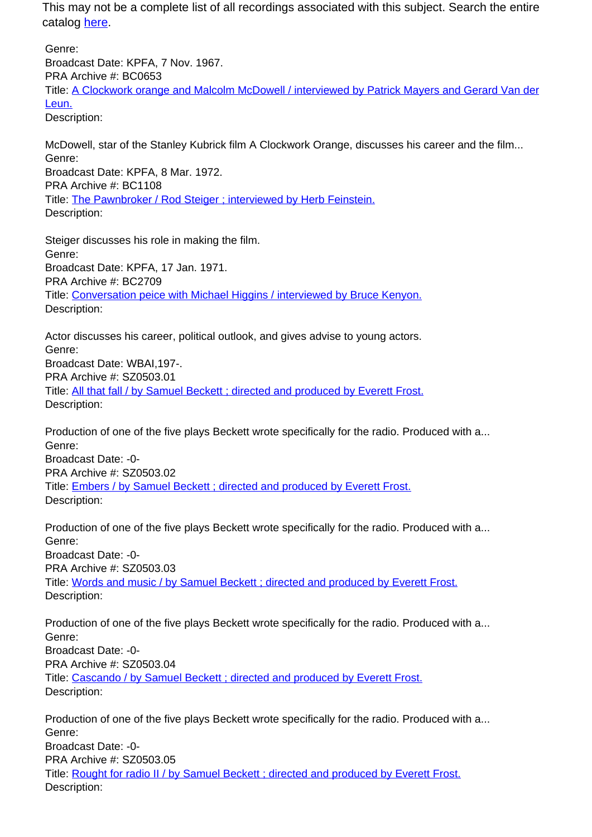This may not be a complete list of all recordings associated with this subject. Search the entire catalog here.

Genre: Broadcast Date: KPFA, 7 Nov. 1967. PRA Archive #: BC0653 Title: A Clockwork orange and Malcolm McDowell / interviewed by Patrick Mayers and Gerard Van der Leun. Description:

McDowell, star of the Stanley Kubrick film A Clockwork Orange, discusses his career and the film... Genre: Broadcast Date: KPFA, 8 Mar. 1972. PRA Archive #: BC1108 Title: The Pawnbroker / Rod Steiger ; interviewed by Herb Feinstein. Description:

Steiger discusses his role in making the film. Genre: Broadcast Date: KPFA, 17 Jan. 1971. PRA Archive #: BC2709 Title: Conversation peice with Michael Higgins / interviewed by Bruce Kenyon. Description:

Actor discusses his career, political outlook, and gives advise to young actors. Genre: Broadcast Date: WBAI,197-. PRA Archive #: SZ0503.01 Title: All that fall / by Samuel Beckett ; directed and produced by Everett Frost. Description:

Production of one of the five plays Beckett wrote specifically for the radio. Produced with a... Genre: Broadcast Date: -0- PRA Archive #: SZ0503.02

Title: Embers / by Samuel Beckett ; directed and produced by Everett Frost. Description:

Production of one of the five plays Beckett wrote specifically for the radio. Produced with a... Genre: Broadcast Date: -0- PRA Archive #: SZ0503.03 Title: Words and music / by Samuel Beckett ; directed and produced by Everett Frost. Description:

Production of one of the five plays Beckett wrote specifically for the radio. Produced with a... Genre: Broadcast Date: -0- PRA Archive #: SZ0503.04 Title: Cascando / by Samuel Beckett ; directed and produced by Everett Frost. Description:

Production of one of the five plays Beckett wrote specifically for the radio. Produced with a... Genre: Broadcast Date: -0- PRA Archive #: SZ0503.05 Title: Rought for radio II / by Samuel Beckett ; directed and produced by Everett Frost. Description: